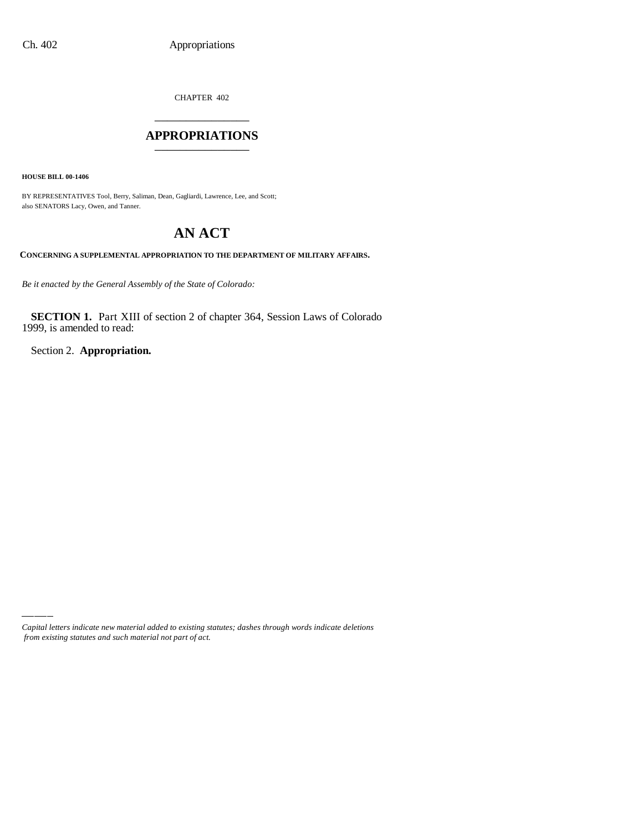CHAPTER 402 \_\_\_\_\_\_\_\_\_\_\_\_\_\_\_

#### **APPROPRIATIONS** \_\_\_\_\_\_\_\_\_\_\_\_\_\_\_

**HOUSE BILL 00-1406**

BY REPRESENTATIVES Tool, Berry, Saliman, Dean, Gagliardi, Lawrence, Lee, and Scott; also SENATORS Lacy, Owen, and Tanner.

# **AN ACT**

**CONCERNING A SUPPLEMENTAL APPROPRIATION TO THE DEPARTMENT OF MILITARY AFFAIRS.**

*Be it enacted by the General Assembly of the State of Colorado:*

**SECTION 1.** Part XIII of section 2 of chapter 364, Session Laws of Colorado 1999, is amended to read:

Section 2. **Appropriation.**

*Capital letters indicate new material added to existing statutes; dashes through words indicate deletions from existing statutes and such material not part of act.*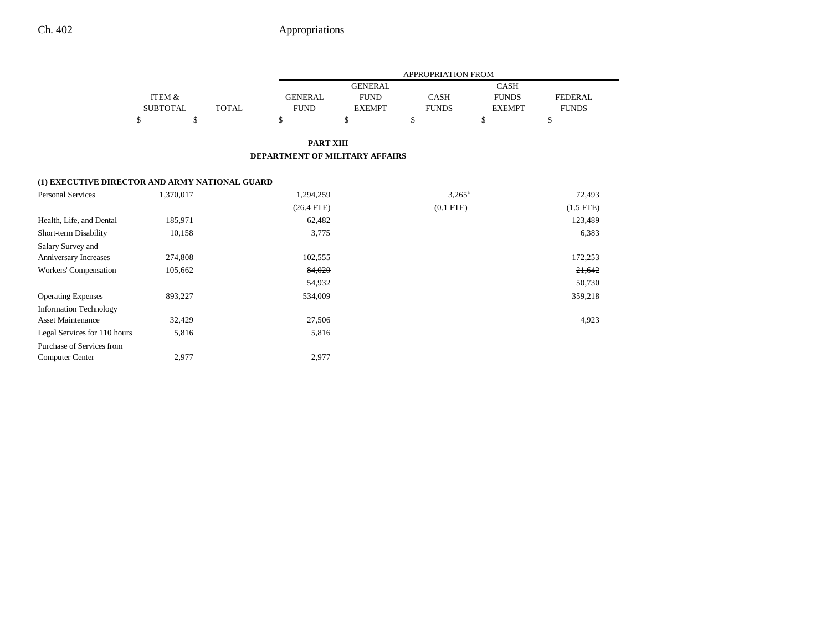|                                                |                   |              | APPROPRIATION FROM                    |                |                 |               |                |  |
|------------------------------------------------|-------------------|--------------|---------------------------------------|----------------|-----------------|---------------|----------------|--|
|                                                |                   |              |                                       | <b>GENERAL</b> |                 | <b>CASH</b>   |                |  |
|                                                | <b>ITEM &amp;</b> |              | <b>GENERAL</b>                        | <b>FUND</b>    | CASH            | <b>FUNDS</b>  | <b>FEDERAL</b> |  |
|                                                | <b>SUBTOTAL</b>   | <b>TOTAL</b> | <b>FUND</b>                           | <b>EXEMPT</b>  | <b>FUNDS</b>    | <b>EXEMPT</b> | <b>FUNDS</b>   |  |
|                                                | \$<br>\$          |              | \$                                    | \$             | \$              | \$            | \$             |  |
|                                                |                   |              | <b>PART XIII</b>                      |                |                 |               |                |  |
|                                                |                   |              | <b>DEPARTMENT OF MILITARY AFFAIRS</b> |                |                 |               |                |  |
| (1) EXECUTIVE DIRECTOR AND ARMY NATIONAL GUARD |                   |              |                                       |                |                 |               |                |  |
| <b>Personal Services</b>                       | 1,370,017         |              | 1,294,259                             |                | $3,265^{\circ}$ |               | 72,493         |  |
|                                                |                   |              | $(26.4$ FTE)                          |                | $(0.1$ FTE $)$  |               | $(1.5$ FTE)    |  |
| Health, Life, and Dental                       | 185,971           |              | 62,482                                |                |                 |               | 123,489        |  |
| Short-term Disability                          | 10,158            |              | 3,775                                 |                |                 |               | 6,383          |  |
| Salary Survey and                              |                   |              |                                       |                |                 |               |                |  |
| Anniversary Increases                          | 274,808           |              | 102,555                               |                |                 |               | 172,253        |  |
| Workers' Compensation                          | 105,662           |              | 84,020                                |                |                 |               | 21,642         |  |
|                                                |                   |              | 54,932                                |                |                 |               | 50,730         |  |
| <b>Operating Expenses</b>                      | 893,227           |              | 534,009                               |                |                 |               | 359,218        |  |
| <b>Information Technology</b>                  |                   |              |                                       |                |                 |               |                |  |
| <b>Asset Maintenance</b>                       | 32,429            |              | 27,506                                |                |                 |               | 4,923          |  |
| Legal Services for 110 hours                   | 5,816             |              | 5,816                                 |                |                 |               |                |  |
| Purchase of Services from                      |                   |              |                                       |                |                 |               |                |  |
| <b>Computer Center</b>                         | 2,977             |              | 2,977                                 |                |                 |               |                |  |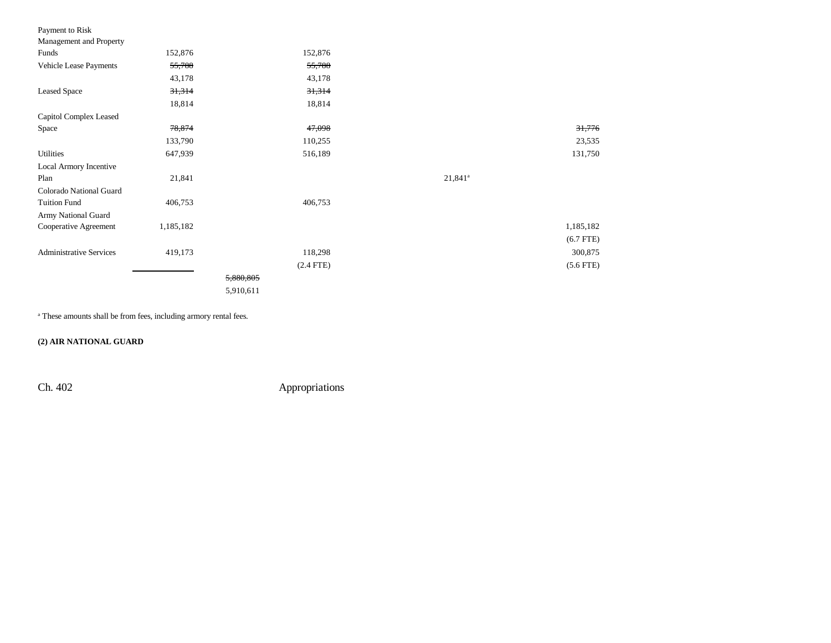| Payment to Risk                |           |             |            |             |
|--------------------------------|-----------|-------------|------------|-------------|
| Management and Property        |           |             |            |             |
| Funds                          | 152,876   | 152,876     |            |             |
| Vehicle Lease Payments         | 55,788    | 55,788      |            |             |
|                                | 43,178    | 43,178      |            |             |
| <b>Leased Space</b>            | 31,314    | 31,314      |            |             |
|                                | 18,814    | 18,814      |            |             |
| Capitol Complex Leased         |           |             |            |             |
| Space                          | 78,874    | 47,098      |            | 31,776      |
|                                | 133,790   | 110,255     |            | 23,535      |
| <b>Utilities</b>               | 647,939   | 516,189     |            | 131,750     |
| Local Armory Incentive         |           |             |            |             |
| Plan                           | 21,841    |             | $21,841^a$ |             |
| Colorado National Guard        |           |             |            |             |
| <b>Tuition Fund</b>            | 406,753   | 406,753     |            |             |
| Army National Guard            |           |             |            |             |
| Cooperative Agreement          | 1,185,182 |             |            | 1,185,182   |
|                                |           |             |            | $(6.7$ FTE) |
| <b>Administrative Services</b> | 419,173   | 118,298     |            | 300,875     |
|                                |           | $(2.4$ FTE) |            | $(5.6$ FTE) |
|                                |           | 5,880,805   |            |             |
|                                |           | 5,910,611   |            |             |

a These amounts shall be from fees, including armory rental fees.

**(2) AIR NATIONAL GUARD**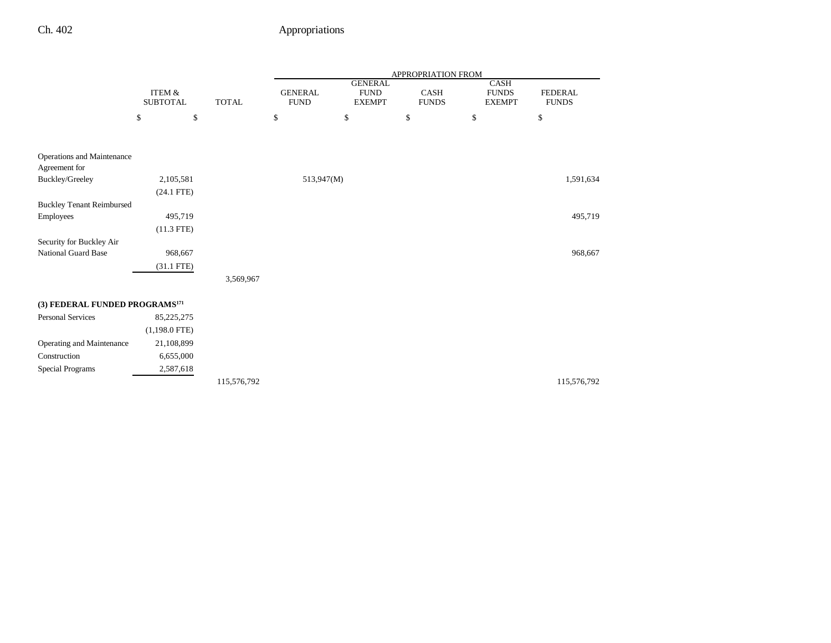|                                            |                                      |              | APPROPRIATION FROM            |                                                |                             |                                       |                                |  |  |
|--------------------------------------------|--------------------------------------|--------------|-------------------------------|------------------------------------------------|-----------------------------|---------------------------------------|--------------------------------|--|--|
|                                            | <b>ITEM &amp;</b><br><b>SUBTOTAL</b> | <b>TOTAL</b> | <b>GENERAL</b><br><b>FUND</b> | <b>GENERAL</b><br><b>FUND</b><br><b>EXEMPT</b> | <b>CASH</b><br><b>FUNDS</b> | CASH<br><b>FUNDS</b><br><b>EXEMPT</b> | <b>FEDERAL</b><br><b>FUNDS</b> |  |  |
|                                            | $\$$<br>\$                           |              | \$                            | \$                                             | \$                          | \$                                    | \$                             |  |  |
| Operations and Maintenance                 |                                      |              |                               |                                                |                             |                                       |                                |  |  |
| Agreement for                              |                                      |              |                               |                                                |                             |                                       |                                |  |  |
| Buckley/Greeley                            | 2,105,581                            |              | 513,947(M)                    |                                                |                             |                                       | 1,591,634                      |  |  |
|                                            | $(24.1$ FTE)                         |              |                               |                                                |                             |                                       |                                |  |  |
| <b>Buckley Tenant Reimbursed</b>           |                                      |              |                               |                                                |                             |                                       |                                |  |  |
| Employees                                  | 495,719                              |              |                               |                                                |                             |                                       | 495,719                        |  |  |
|                                            | $(11.3$ FTE)                         |              |                               |                                                |                             |                                       |                                |  |  |
| Security for Buckley Air                   |                                      |              |                               |                                                |                             |                                       |                                |  |  |
| <b>National Guard Base</b>                 | 968,667                              |              |                               |                                                |                             |                                       | 968,667                        |  |  |
|                                            | $(31.1$ FTE)                         |              |                               |                                                |                             |                                       |                                |  |  |
|                                            |                                      | 3,569,967    |                               |                                                |                             |                                       |                                |  |  |
| (3) FEDERAL FUNDED PROGRAMS <sup>171</sup> |                                      |              |                               |                                                |                             |                                       |                                |  |  |
| <b>Personal Services</b>                   | 85,225,275                           |              |                               |                                                |                             |                                       |                                |  |  |
|                                            | $(1,198.0$ FTE)                      |              |                               |                                                |                             |                                       |                                |  |  |
| Operating and Maintenance                  | 21,108,899                           |              |                               |                                                |                             |                                       |                                |  |  |
| Construction                               | 6,655,000                            |              |                               |                                                |                             |                                       |                                |  |  |
| <b>Special Programs</b>                    | 2,587,618                            |              |                               |                                                |                             |                                       |                                |  |  |
|                                            |                                      | 115,576,792  |                               |                                                |                             |                                       | 115,576,792                    |  |  |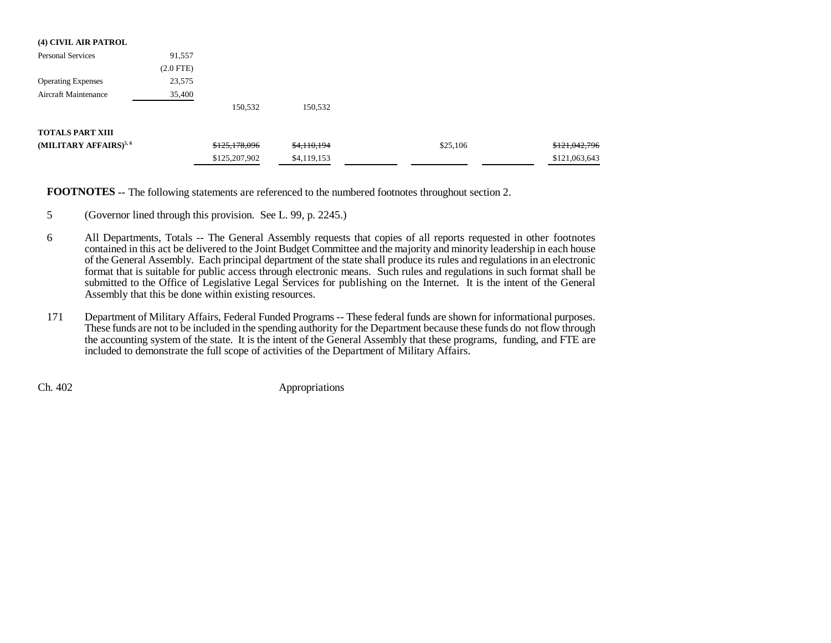| (4) CIVIL AIR PATROL              |                |               |             |          |               |
|-----------------------------------|----------------|---------------|-------------|----------|---------------|
| <b>Personal Services</b>          | 91,557         |               |             |          |               |
|                                   | $(2.0$ FTE $)$ |               |             |          |               |
| <b>Operating Expenses</b>         | 23,575         |               |             |          |               |
| <b>Aircraft Maintenance</b>       | 35,400         |               |             |          |               |
|                                   |                | 150,532       | 150,532     |          |               |
| <b>TOTALS PART XIII</b>           |                |               |             |          |               |
| (MILITARY AFFAIRS) <sup>5,6</sup> |                | \$125,178,096 | \$4,110,194 | \$25,106 | \$121,042,796 |
|                                   |                | \$125,207,902 | \$4,119,153 |          | \$121,063,643 |

**FOOTNOTES** -- The following statements are referenced to the numbered footnotes throughout section 2.

- 5 (Governor lined through this provision. See L. 99, p. 2245.)
- 6 All Departments, Totals -- The General Assembly requests that copies of all reports requested in other footnotes contained in this act be delivered to the Joint Budget Committee and the majority and minority leadership in each house of the General Assembly. Each principal department of the state shall produce its rules and regulations in an electronic format that is suitable for public access through electronic means. Such rules and regulations in such format shall be submitted to the Office of Legislative Legal Services for publishing on the Internet. It is the intent of the General Assembly that this be done within existing resources.
- 171 Department of Military Affairs, Federal Funded Programs -- These federal funds are shown for informational purposes. These funds are not to be included in the spending authority for the Department because these funds do not flow through the accounting system of the state. It is the intent of the General Assembly that these programs, funding, and FTE are included to demonstrate the full scope of activities of the Department of Military Affairs.